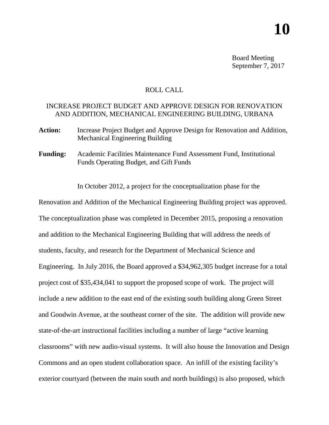Board Meeting September 7, 2017

## ROLL CALL

## INCREASE PROJECT BUDGET AND APPROVE DESIGN FOR RENOVATION AND ADDITION, MECHANICAL ENGINEERING BUILDING, URBANA

- **Action:** Increase Project Budget and Approve Design for Renovation and Addition, Mechanical Engineering Building
- **Funding:** Academic Facilities Maintenance Fund Assessment Fund, Institutional Funds Operating Budget, and Gift Funds

In October 2012, a project for the conceptualization phase for the

Renovation and Addition of the Mechanical Engineering Building project was approved. The conceptualization phase was completed in December 2015, proposing a renovation and addition to the Mechanical Engineering Building that will address the needs of students, faculty, and research for the Department of Mechanical Science and Engineering. In July 2016, the Board approved a \$34,962,305 budget increase for a total project cost of \$35,434,041 to support the proposed scope of work. The project will include a new addition to the east end of the existing south building along Green Street and Goodwin Avenue, at the southeast corner of the site. The addition will provide new state-of-the-art instructional facilities including a number of large "active learning classrooms" with new audio-visual systems. It will also house the Innovation and Design Commons and an open student collaboration space. An infill of the existing facility's exterior courtyard (between the main south and north buildings) is also proposed, which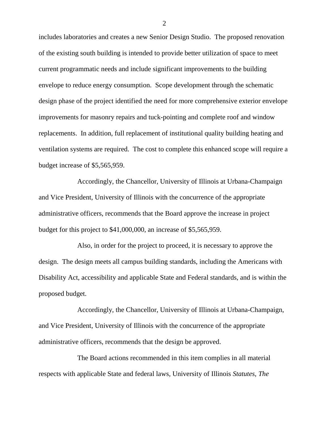includes laboratories and creates a new Senior Design Studio. The proposed renovation of the existing south building is intended to provide better utilization of space to meet current programmatic needs and include significant improvements to the building envelope to reduce energy consumption. Scope development through the schematic design phase of the project identified the need for more comprehensive exterior envelope improvements for masonry repairs and tuck-pointing and complete roof and window replacements. In addition, full replacement of institutional quality building heating and ventilation systems are required. The cost to complete this enhanced scope will require a budget increase of \$5,565,959.

Accordingly, the Chancellor, University of Illinois at Urbana-Champaign and Vice President, University of Illinois with the concurrence of the appropriate administrative officers, recommends that the Board approve the increase in project budget for this project to \$41,000,000, an increase of \$5,565,959.

Also, in order for the project to proceed, it is necessary to approve the design. The design meets all campus building standards, including the Americans with Disability Act, accessibility and applicable State and Federal standards, and is within the proposed budget.

Accordingly, the Chancellor, University of Illinois at Urbana-Champaign, and Vice President, University of Illinois with the concurrence of the appropriate administrative officers, recommends that the design be approved.

The Board actions recommended in this item complies in all material respects with applicable State and federal laws, University of Illinois *Statutes*, *The* 

2